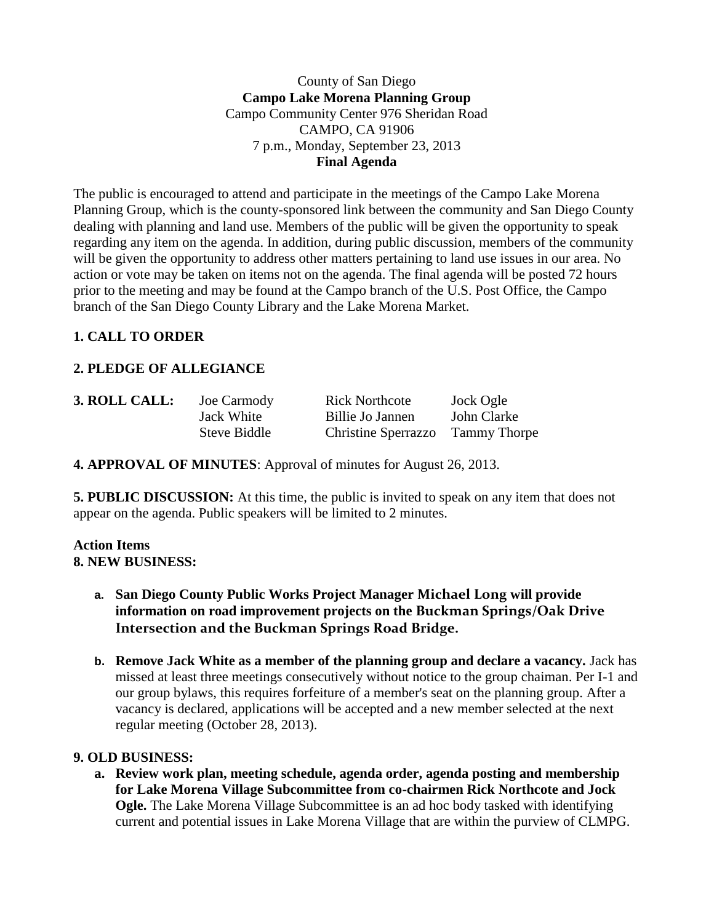County of San Diego **Campo Lake Morena Planning Group** Campo Community Center 976 Sheridan Road CAMPO, CA 91906 7 p.m., Monday, September 23, 2013 **Final Agenda**

The public is encouraged to attend and participate in the meetings of the Campo Lake Morena Planning Group, which is the county-sponsored link between the community and San Diego County dealing with planning and land use. Members of the public will be given the opportunity to speak regarding any item on the agenda. In addition, during public discussion, members of the community will be given the opportunity to address other matters pertaining to land use issues in our area. No action or vote may be taken on items not on the agenda. The final agenda will be posted 72 hours prior to the meeting and may be found at the Campo branch of the U.S. Post Office, the Campo branch of the San Diego County Library and the Lake Morena Market.

# **1. CALL TO ORDER**

# **2. PLEDGE OF ALLEGIANCE**

| 3. ROLL CALL: | Joe Carmody  | <b>Rick Northcote</b>            | Jock Ogle   |
|---------------|--------------|----------------------------------|-------------|
|               | Jack White   | Billie Jo Jannen                 | John Clarke |
|               | Steve Biddle | Christine Sperrazzo Tammy Thorpe |             |

**4. APPROVAL OF MINUTES**: Approval of minutes for August 26, 2013.

**5. PUBLIC DISCUSSION:** At this time, the public is invited to speak on any item that does not appear on the agenda. Public speakers will be limited to 2 minutes.

## **Action Items 8. NEW BUSINESS:**

- **a. San Diego County Public Works Project Manager Michael Long will provide information on road improvement projects on the Buckman Springs/Oak Drive Intersection and the Buckman Springs Road Bridge.**
- **b. Remove Jack White as a member of the planning group and declare a vacancy.** Jack has missed at least three meetings consecutively without notice to the group chaiman. Per I-1 and our group bylaws, this requires forfeiture of a member's seat on the planning group. After a vacancy is declared, applications will be accepted and a new member selected at the next regular meeting (October 28, 2013).

## **9. OLD BUSINESS:**

**a. Review work plan, meeting schedule, agenda order, agenda posting and membership for Lake Morena Village Subcommittee from co-chairmen Rick Northcote and Jock Ogle.** The Lake Morena Village Subcommittee is an ad hoc body tasked with identifying current and potential issues in Lake Morena Village that are within the purview of CLMPG.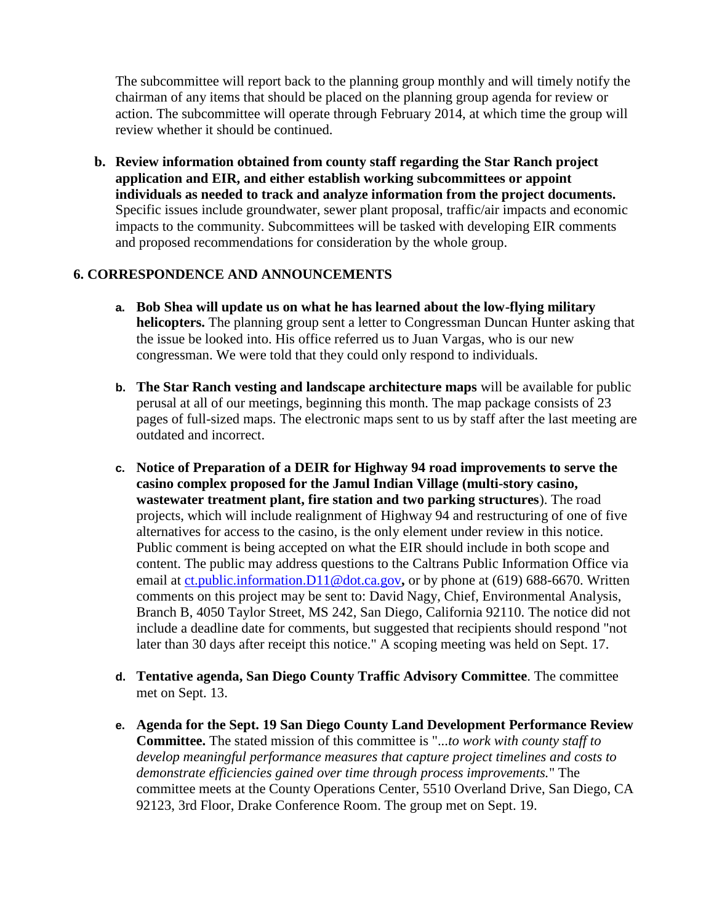The subcommittee will report back to the planning group monthly and will timely notify the chairman of any items that should be placed on the planning group agenda for review or action. The subcommittee will operate through February 2014, at which time the group will review whether it should be continued.

**b. Review information obtained from county staff regarding the Star Ranch project application and EIR, and either establish working subcommittees or appoint individuals as needed to track and analyze information from the project documents.** Specific issues include groundwater, sewer plant proposal, traffic/air impacts and economic impacts to the community. Subcommittees will be tasked with developing EIR comments and proposed recommendations for consideration by the whole group.

# **6. CORRESPONDENCE AND ANNOUNCEMENTS**

- **a. Bob Shea will update us on what he has learned about the low-flying military helicopters.** The planning group sent a letter to Congressman Duncan Hunter asking that the issue be looked into. His office referred us to Juan Vargas, who is our new congressman. We were told that they could only respond to individuals.
- **b. The Star Ranch vesting and landscape architecture maps** will be available for public perusal at all of our meetings, beginning this month. The map package consists of 23 pages of full-sized maps. The electronic maps sent to us by staff after the last meeting are outdated and incorrect.
- **c. Notice of Preparation of a DEIR for Highway 94 road improvements to serve the casino complex proposed for the Jamul Indian Village (multi-story casino, wastewater treatment plant, fire station and two parking structures**). The road projects, which will include realignment of Highway 94 and restructuring of one of five alternatives for access to the casino, is the only element under review in this notice. Public comment is being accepted on what the EIR should include in both scope and content. The public may address questions to the Caltrans Public Information Office via email at [ct.public.information.D11@dot.ca.gov](http://jacjamul.com/ct.public.information.D11@dot.ca.gov)**,** or by phone at (619) 688-6670. Written comments on this project may be sent to: David Nagy, Chief, Environmental Analysis, Branch B, 4050 Taylor Street, MS 242, San Diego, California 92110. The notice did not include a deadline date for comments, but suggested that recipients should respond "not later than 30 days after receipt this notice." A scoping meeting was held on Sept. 17.
- **d. Tentative agenda, San Diego County Traffic Advisory Committee**. The committee met on Sept. 13.
- **e. Agenda for the Sept. 19 San Diego County Land Development Performance Review Committee.** The stated mission of this committee is "...*to work with county staff to develop meaningful performance measures that capture project timelines and costs to demonstrate efficiencies gained over time through process improvements.*" The committee meets at the County Operations Center, 5510 Overland Drive, San Diego, CA 92123, 3rd Floor, Drake Conference Room. The group met on Sept. 19.